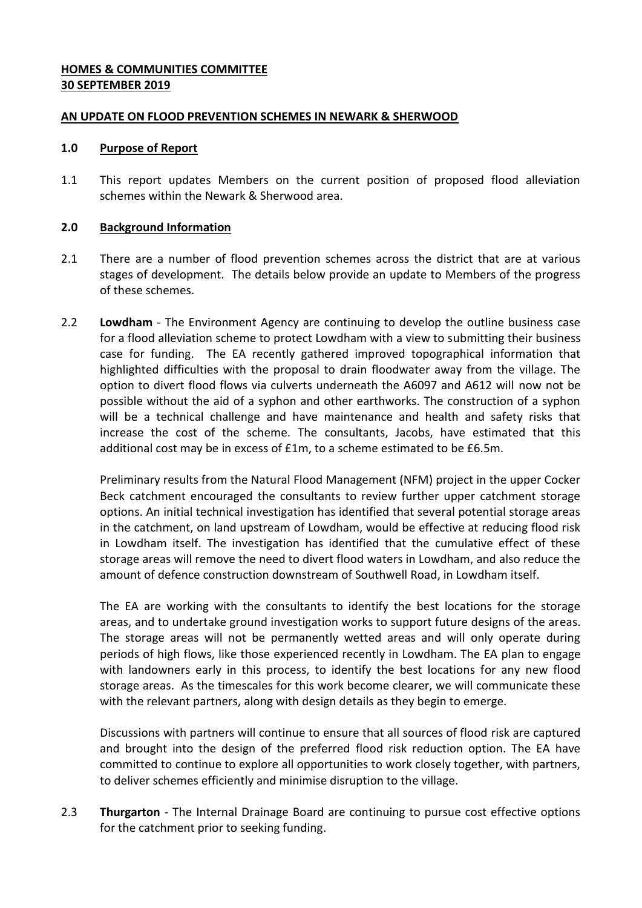# **HOMES & COMMUNITIES COMMITTEE 30 SEPTEMBER 2019**

## **AN UPDATE ON FLOOD PREVENTION SCHEMES IN NEWARK & SHERWOOD**

#### **1.0 Purpose of Report**

1.1 This report updates Members on the current position of proposed flood alleviation schemes within the Newark & Sherwood area.

### **2.0 Background Information**

- 2.1 There are a number of flood prevention schemes across the district that are at various stages of development. The details below provide an update to Members of the progress of these schemes.
- 2.2 **Lowdham**  The Environment Agency are continuing to develop the outline business case for a flood alleviation scheme to protect Lowdham with a view to submitting their business case for funding. The EA recently gathered improved topographical information that highlighted difficulties with the proposal to drain floodwater away from the village. The option to divert flood flows via culverts underneath the A6097 and A612 will now not be possible without the aid of a syphon and other earthworks. The construction of a syphon will be a technical challenge and have maintenance and health and safety risks that increase the cost of the scheme. The consultants, Jacobs, have estimated that this additional cost may be in excess of £1m, to a scheme estimated to be £6.5m.

Preliminary results from the Natural Flood Management (NFM) project in the upper Cocker Beck catchment encouraged the consultants to review further upper catchment storage options. An initial technical investigation has identified that several potential storage areas in the catchment, on land upstream of Lowdham, would be effective at reducing flood risk in Lowdham itself. The investigation has identified that the cumulative effect of these storage areas will remove the need to divert flood waters in Lowdham, and also reduce the amount of defence construction downstream of Southwell Road, in Lowdham itself.

The EA are working with the consultants to identify the best locations for the storage areas, and to undertake ground investigation works to support future designs of the areas. The storage areas will not be permanently wetted areas and will only operate during periods of high flows, like those experienced recently in Lowdham. The EA plan to engage with landowners early in this process, to identify the best locations for any new flood storage areas. As the timescales for this work become clearer, we will communicate these with the relevant partners, along with design details as they begin to emerge.

Discussions with partners will continue to ensure that all sources of flood risk are captured and brought into the design of the preferred flood risk reduction option. The EA have committed to continue to explore all opportunities to work closely together, with partners, to deliver schemes efficiently and minimise disruption to the village.

2.3 **Thurgarton** - The Internal Drainage Board are continuing to pursue cost effective options for the catchment prior to seeking funding.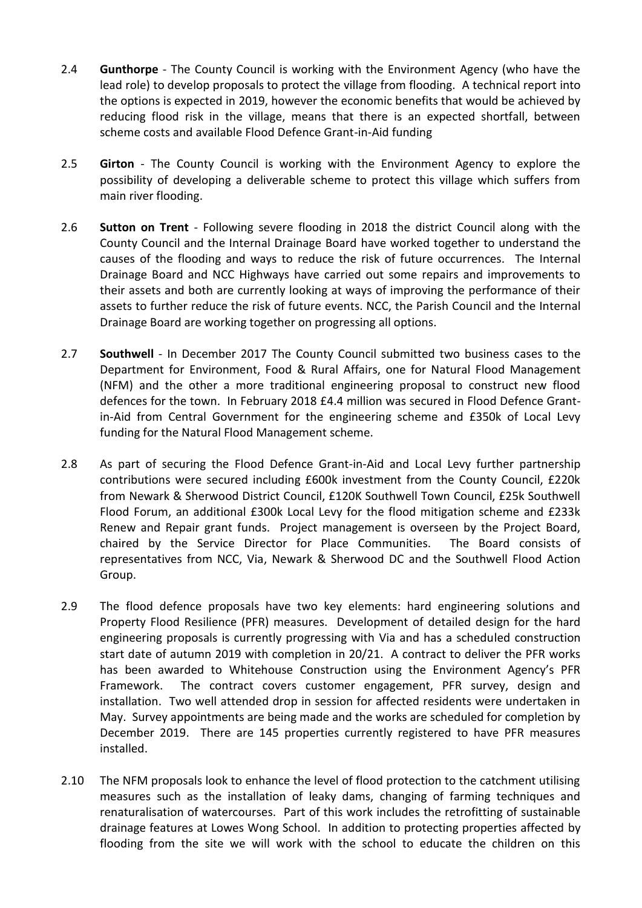- 2.4 **Gunthorpe**  The County Council is working with the Environment Agency (who have the lead role) to develop proposals to protect the village from flooding. A technical report into the options is expected in 2019, however the economic benefits that would be achieved by reducing flood risk in the village, means that there is an expected shortfall, between scheme costs and available Flood Defence Grant-in-Aid funding
- 2.5 **Girton**  The County Council is working with the Environment Agency to explore the possibility of developing a deliverable scheme to protect this village which suffers from main river flooding.
- 2.6 **Sutton on Trent** Following severe flooding in 2018 the district Council along with the County Council and the Internal Drainage Board have worked together to understand the causes of the flooding and ways to reduce the risk of future occurrences. The Internal Drainage Board and NCC Highways have carried out some repairs and improvements to their assets and both are currently looking at ways of improving the performance of their assets to further reduce the risk of future events. NCC, the Parish Council and the Internal Drainage Board are working together on progressing all options.
- 2.7 **Southwell**  In December 2017 The County Council submitted two business cases to the Department for Environment, Food & Rural Affairs, one for Natural Flood Management (NFM) and the other a more traditional engineering proposal to construct new flood defences for the town. In February 2018 £4.4 million was secured in Flood Defence Grantin-Aid from Central Government for the engineering scheme and £350k of Local Levy funding for the Natural Flood Management scheme.
- 2.8 As part of securing the Flood Defence Grant-in-Aid and Local Levy further partnership contributions were secured including £600k investment from the County Council, £220k from Newark & Sherwood District Council, £120K Southwell Town Council, £25k Southwell Flood Forum, an additional £300k Local Levy for the flood mitigation scheme and £233k Renew and Repair grant funds. Project management is overseen by the Project Board, chaired by the Service Director for Place Communities. The Board consists of representatives from NCC, Via, Newark & Sherwood DC and the Southwell Flood Action Group.
- 2.9 The flood defence proposals have two key elements: hard engineering solutions and Property Flood Resilience (PFR) measures. Development of detailed design for the hard engineering proposals is currently progressing with Via and has a scheduled construction start date of autumn 2019 with completion in 20/21. A contract to deliver the PFR works has been awarded to Whitehouse Construction using the Environment Agency's PFR Framework. The contract covers customer engagement, PFR survey, design and installation. Two well attended drop in session for affected residents were undertaken in May. Survey appointments are being made and the works are scheduled for completion by December 2019. There are 145 properties currently registered to have PFR measures installed.
- 2.10 The NFM proposals look to enhance the level of flood protection to the catchment utilising measures such as the installation of leaky dams, changing of farming techniques and renaturalisation of watercourses. Part of this work includes the retrofitting of sustainable drainage features at Lowes Wong School. In addition to protecting properties affected by flooding from the site we will work with the school to educate the children on this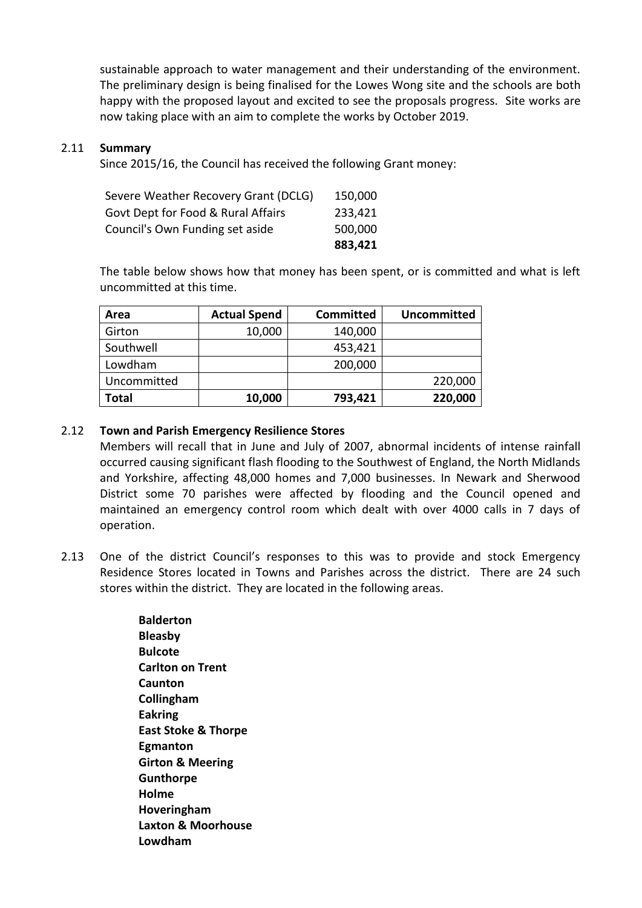sustainable approach to water management and their understanding of the environment. The preliminary design is being finalised for the Lowes Wong site and the schools are both happy with the proposed layout and excited to see the proposals progress. Site works are now taking place with an aim to complete the works by October 2019.

#### 2.11 **Summary**

Since 2015/16, the Council has received the following Grant money:

|                                      | 883,421 |
|--------------------------------------|---------|
| Council's Own Funding set aside      | 500,000 |
| Govt Dept for Food & Rural Affairs   | 233,421 |
| Severe Weather Recovery Grant (DCLG) | 150,000 |

The table below shows how that money has been spent, or is committed and what is left uncommitted at this time.

| Area         | <b>Actual Spend</b> | <b>Committed</b> | <b>Uncommitted</b> |
|--------------|---------------------|------------------|--------------------|
| Girton       | 10,000              | 140,000          |                    |
| Southwell    |                     | 453,421          |                    |
| Lowdham      |                     | 200,000          |                    |
| Uncommitted  |                     |                  | 220,000            |
| <b>Total</b> | 10,000              | 793,421          | 220,000            |

### 2.12 **Town and Parish Emergency Resilience Stores**

Members will recall that in June and July of 2007, abnormal incidents of intense rainfall occurred causing significant flash flooding to the Southwest of England, the North Midlands and Yorkshire, affecting 48,000 homes and 7,000 businesses. In Newark and Sherwood District some 70 parishes were affected by flooding and the Council opened and maintained an emergency control room which dealt with over 4000 calls in 7 days of operation.

2.13 One of the district Council's responses to this was to provide and stock Emergency Residence Stores located in Towns and Parishes across the district. There are 24 such stores within the district. They are located in the following areas.

> **Balderton Bleasby Bulcote Carlton on Trent Caunton Collingham Eakring East Stoke & Thorpe Egmanton Girton & Meering Gunthorpe Holme Hoveringham Laxton & Moorhouse Lowdham**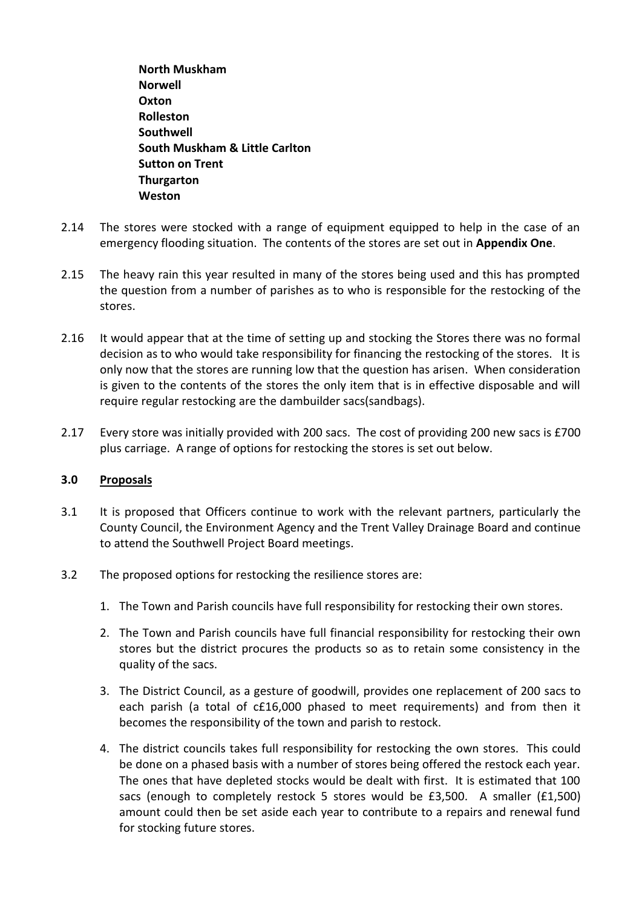**North Muskham Norwell Oxton Rolleston Southwell South Muskham & Little Carlton Sutton on Trent Thurgarton Weston**

- 2.14 The stores were stocked with a range of equipment equipped to help in the case of an emergency flooding situation. The contents of the stores are set out in **Appendix One**.
- 2.15 The heavy rain this year resulted in many of the stores being used and this has prompted the question from a number of parishes as to who is responsible for the restocking of the stores.
- 2.16 It would appear that at the time of setting up and stocking the Stores there was no formal decision as to who would take responsibility for financing the restocking of the stores. It is only now that the stores are running low that the question has arisen. When consideration is given to the contents of the stores the only item that is in effective disposable and will require regular restocking are the dambuilder sacs(sandbags).
- 2.17 Every store was initially provided with 200 sacs. The cost of providing 200 new sacs is £700 plus carriage. A range of options for restocking the stores is set out below.

## **3.0 Proposals**

- 3.1 It is proposed that Officers continue to work with the relevant partners, particularly the County Council, the Environment Agency and the Trent Valley Drainage Board and continue to attend the Southwell Project Board meetings.
- 3.2 The proposed options for restocking the resilience stores are:
	- 1. The Town and Parish councils have full responsibility for restocking their own stores.
	- 2. The Town and Parish councils have full financial responsibility for restocking their own stores but the district procures the products so as to retain some consistency in the quality of the sacs.
	- 3. The District Council, as a gesture of goodwill, provides one replacement of 200 sacs to each parish (a total of c£16,000 phased to meet requirements) and from then it becomes the responsibility of the town and parish to restock.
	- 4. The district councils takes full responsibility for restocking the own stores. This could be done on a phased basis with a number of stores being offered the restock each year. The ones that have depleted stocks would be dealt with first. It is estimated that 100 sacs (enough to completely restock 5 stores would be £3,500. A smaller (£1,500) amount could then be set aside each year to contribute to a repairs and renewal fund for stocking future stores.